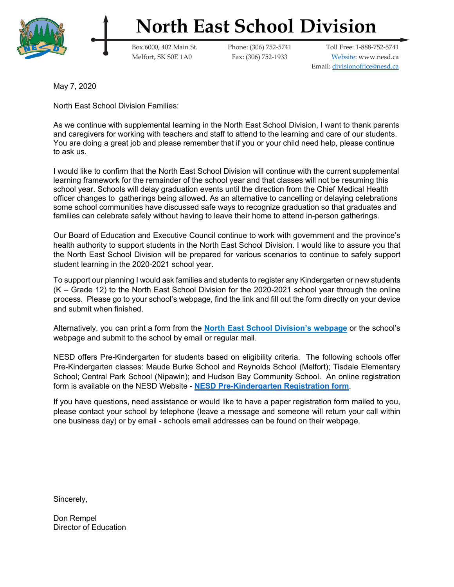

## **North East School Division**

Box 6000, 402 Main St. Phone: (306) 752-5741 Toll Free: 1-888-752-5741 Melfort, SK S0E 1A0 Fax: (306) 752-1933 [Website:](https://www.nesd.ca/Pages/default.aspx#/=) [www.nesd.ca](http://www.nesd.ca/) Email: [divisionoffice@nesd.ca](mailto:divisionoffice@nesd.ca)

May 7, 2020

North East School Division Families:

As we continue with supplemental learning in the North East School Division, I want to thank parents and caregivers for working with teachers and staff to attend to the learning and care of our students. You are doing a great job and please remember that if you or your child need help, please continue to ask us.

I would like to confirm that the North East School Division will continue with the current supplemental learning framework for the remainder of the school year and that classes will not be resuming this school year. Schools will delay graduation events until the direction from the Chief Medical Health officer changes to gatherings being allowed. As an alternative to cancelling or delaying celebrations some school communities have discussed safe ways to recognize graduation so that graduates and families can celebrate safely without having to leave their home to attend in-person gatherings.

Our Board of Education and Executive Council continue to work with government and the province's health authority to support students in the North East School Division. I would like to assure you that the North East School Division will be prepared for various scenarios to continue to safely support student learning in the 2020-2021 school year.

To support our planning I would ask families and students to register any Kindergarten or new students (K – Grade 12) to the North East School Division for the 2020-2021 school year through the online process. Please go to your school's webpage, find the link and fill out the form directly on your device and submit when finished.

Alternatively, you can print a form from the **[North East School Division's webpage](https://www.nesd.ca/Programs/Forms/Public%20Forms/NESD%20Registration%20Form%202020-21.pdf)** or the school's webpage and submit to the school by email or regular mail.

NESD offers Pre-Kindergarten for students based on eligibility criteria. The following schools offer Pre-Kindergarten classes: Maude Burke School and Reynolds School (Melfort); Tisdale Elementary School; Central Park School (Nipawin); and Hudson Bay Community School. An online registration form is available on the NESD Website - **[NESD Pre-Kindergarten Registration form](https://forms.office.com/Pages/ResponsePage.aspx?id=qqcasxTDXka2Nn4E47ud0neSqrANtWpCk2vQic4DPS5URDBWUk5ZU0ZDRTlLTlBCOTVSQU02RTIxTi4u)**.

If you have questions, need assistance or would like to have a paper registration form mailed to you, please contact your school by telephone (leave a message and someone will return your call within one business day) or by email - schools email addresses can be found on their webpage.

Sincerely,

Don Rempel Director of Education